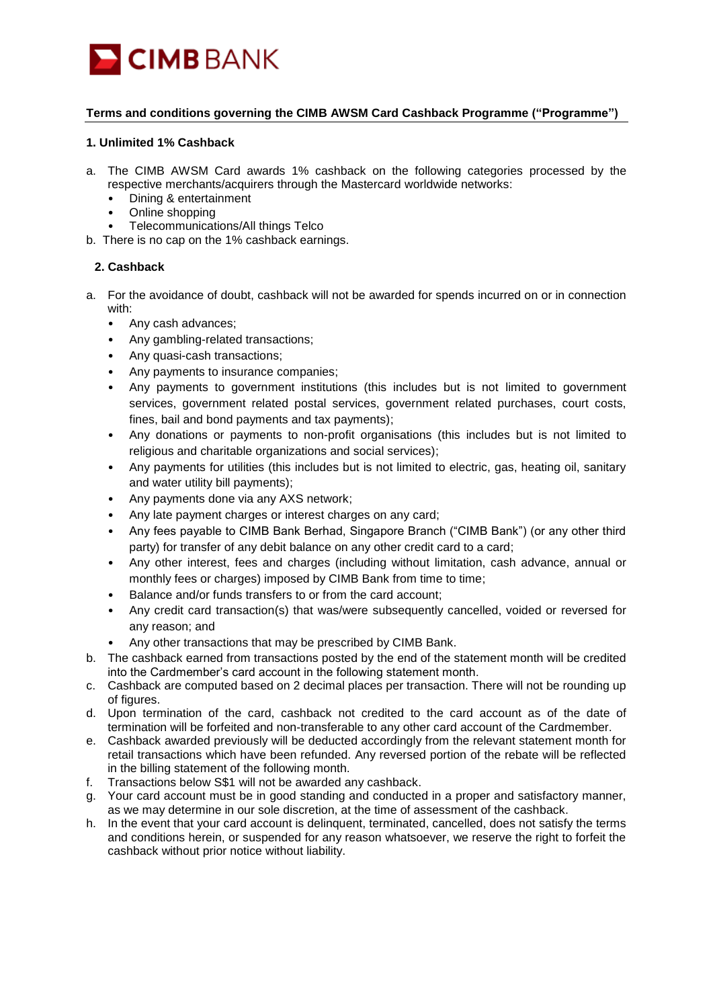

# **Terms and conditions governing the CIMB AWSM Card Cashback Programme ("Programme")**

#### **1. Unlimited 1% Cashback**

- a. The CIMB AWSM Card awards 1% cashback on the following categories processed by the respective merchants/acquirers through the Mastercard worldwide networks:
	- Dining & entertainment
	- Online shopping
	- Telecommunications/All things Telco
- b. There is no cap on the 1% cashback earnings.

# **2. Cashback**

- a. For the avoidance of doubt, cashback will not be awarded for spends incurred on or in connection with:
	- Any cash advances;
	- Any gambling-related transactions;
	- Any quasi-cash transactions;
	- Any payments to insurance companies;
	- Any payments to government institutions (this includes but is not limited to government services, government related postal services, government related purchases, court costs, fines, bail and bond payments and tax payments);
	- Any donations or payments to non-profit organisations (this includes but is not limited to religious and charitable organizations and social services);
	- Any payments for utilities (this includes but is not limited to electric, gas, heating oil, sanitary and water utility bill payments);
	- Any payments done via any AXS network;
	- Any late payment charges or interest charges on any card;
	- Any fees payable to CIMB Bank Berhad, Singapore Branch ("CIMB Bank") (or any other third party) for transfer of any debit balance on any other credit card to a card;
	- Any other interest, fees and charges (including without limitation, cash advance, annual or monthly fees or charges) imposed by CIMB Bank from time to time:
	- Balance and/or funds transfers to or from the card account;
	- Any credit card transaction(s) that was/were subsequently cancelled, voided or reversed for any reason; and
	- Any other transactions that may be prescribed by CIMB Bank.
- b. The cashback earned from transactions posted by the end of the statement month will be credited into the Cardmember's card account in the following statement month.
- c. Cashback are computed based on 2 decimal places per transaction. There will not be rounding up of figures.
- d. Upon termination of the card, cashback not credited to the card account as of the date of termination will be forfeited and non-transferable to any other card account of the Cardmember.
- e. Cashback awarded previously will be deducted accordingly from the relevant statement month for retail transactions which have been refunded. Any reversed portion of the rebate will be reflected in the billing statement of the following month.
- f. Transactions below S\$1 will not be awarded any cashback.
- g. Your card account must be in good standing and conducted in a proper and satisfactory manner, as we may determine in our sole discretion, at the time of assessment of the cashback.
- h. In the event that your card account is delinquent, terminated, cancelled, does not satisfy the terms and conditions herein, or suspended for any reason whatsoever, we reserve the right to forfeit the cashback without prior notice without liability.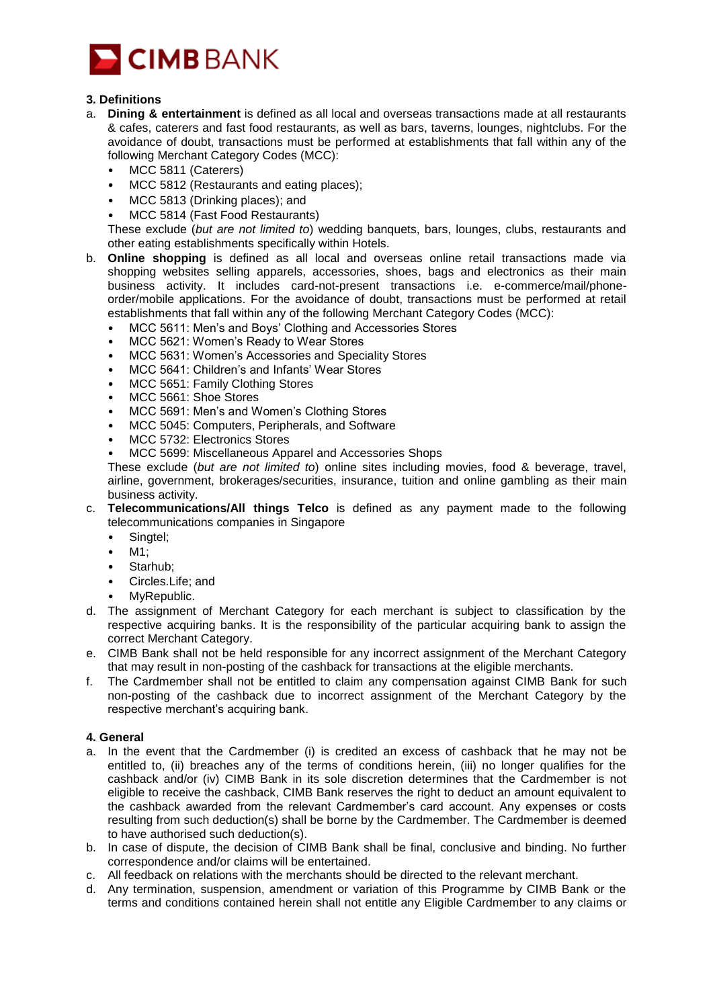

# **3. Definitions**

- a. **Dining & entertainment** is defined as all local and overseas transactions made at all restaurants & cafes, caterers and fast food restaurants, as well as bars, taverns, lounges, nightclubs. For the avoidance of doubt, transactions must be performed at establishments that fall within any of the following Merchant Category Codes (MCC):
	- MCC 5811 (Caterers)
	- MCC 5812 (Restaurants and eating places);
	- MCC 5813 (Drinking places); and
	- MCC 5814 (Fast Food Restaurants)

These exclude (*but are not limited to*) wedding banquets, bars, lounges, clubs, restaurants and other eating establishments specifically within Hotels.

- b. **Online shopping** is defined as all local and overseas online retail transactions made via shopping websites selling apparels, accessories, shoes, bags and electronics as their main business activity. It includes card-not-present transactions i.e. e-commerce/mail/phoneorder/mobile applications. For the avoidance of doubt, transactions must be performed at retail establishments that fall within any of the following Merchant Category Codes (MCC):
	- MCC 5611: Men's and Boys' Clothing and Accessories Stores
	- MCC 5621: Women's Ready to Wear Stores
	- MCC 5631: Women's Accessories and Speciality Stores
	- MCC 5641: Children's and Infants' Wear Stores
	- MCC 5651: Family Clothing Stores
	- MCC 5661: Shoe Stores
	- MCC 5691: Men's and Women's Clothing Stores
	- MCC 5045: Computers, Peripherals, and Software
	- MCC 5732: Electronics Stores
	- MCC 5699: Miscellaneous Apparel and Accessories Shops

These exclude (*but are not limited to*) online sites including movies, food & beverage, travel, airline, government, brokerages/securities, insurance, tuition and online gambling as their main business activity.

- c. **Telecommunications/All things Telco** is defined as any payment made to the following telecommunications companies in Singapore
	- Singtel;
	- M1;
	- Starhub;
	- Circles.Life; and
	- MyRepublic.
- d. The assignment of Merchant Category for each merchant is subject to classification by the respective acquiring banks. It is the responsibility of the particular acquiring bank to assign the correct Merchant Category.
- e. CIMB Bank shall not be held responsible for any incorrect assignment of the Merchant Category that may result in non-posting of the cashback for transactions at the eligible merchants.
- f. The Cardmember shall not be entitled to claim any compensation against CIMB Bank for such non-posting of the cashback due to incorrect assignment of the Merchant Category by the respective merchant's acquiring bank.

#### **4. General**

- a. In the event that the Cardmember (i) is credited an excess of cashback that he may not be entitled to, (ii) breaches any of the terms of conditions herein, (iii) no longer qualifies for the cashback and/or (iv) CIMB Bank in its sole discretion determines that the Cardmember is not eligible to receive the cashback, CIMB Bank reserves the right to deduct an amount equivalent to the cashback awarded from the relevant Cardmember's card account. Any expenses or costs resulting from such deduction(s) shall be borne by the Cardmember. The Cardmember is deemed to have authorised such deduction(s).
- b. In case of dispute, the decision of CIMB Bank shall be final, conclusive and binding. No further correspondence and/or claims will be entertained.
- c. All feedback on relations with the merchants should be directed to the relevant merchant.
- d. Any termination, suspension, amendment or variation of this Programme by CIMB Bank or the terms and conditions contained herein shall not entitle any Eligible Cardmember to any claims or